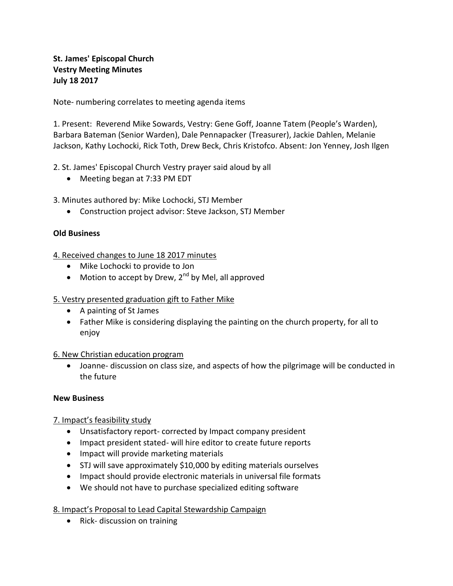### **St. James' Episcopal Church Vestry Meeting Minutes July 18 2017**

Note- numbering correlates to meeting agenda items

1. Present: Reverend Mike Sowards, Vestry: Gene Goff, Joanne Tatem (People's Warden), Barbara Bateman (Senior Warden), Dale Pennapacker (Treasurer), Jackie Dahlen, Melanie Jackson, Kathy Lochocki, Rick Toth, Drew Beck, Chris Kristofco. Absent: Jon Yenney, Josh Ilgen

2. St. James' Episcopal Church Vestry prayer said aloud by all

• Meeting began at 7:33 PM EDT

3. Minutes authored by: Mike Lochocki, STJ Member

Construction project advisor: Steve Jackson, STJ Member

#### **Old Business**

4. Received changes to June 18 2017 minutes

- Mike Lochocki to provide to Jon
- $\bullet$  Motion to accept by Drew, 2<sup>nd</sup> by Mel, all approved

#### 5. Vestry presented graduation gift to Father Mike

- A painting of St James
- Father Mike is considering displaying the painting on the church property, for all to enjoy

#### 6. New Christian education program

 Joanne- discussion on class size, and aspects of how the pilgrimage will be conducted in the future

#### **New Business**

#### 7. Impact's feasibility study

- Unsatisfactory report- corrected by Impact company president
- Impact president stated- will hire editor to create future reports
- Impact will provide marketing materials
- STJ will save approximately \$10,000 by editing materials ourselves
- Impact should provide electronic materials in universal file formats
- We should not have to purchase specialized editing software

8. Impact's Proposal to Lead Capital Stewardship Campaign

• Rick- discussion on training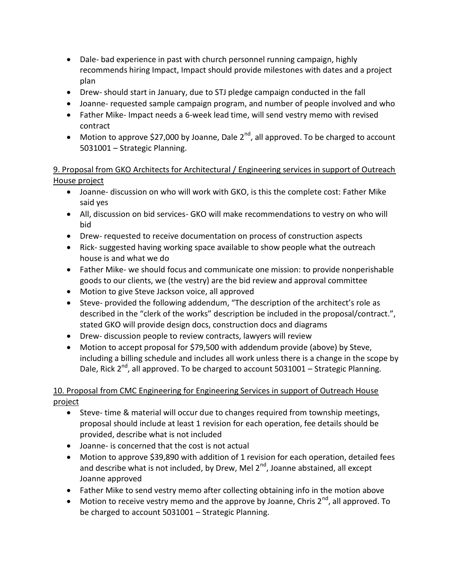- Dale- bad experience in past with church personnel running campaign, highly recommends hiring Impact, Impact should provide milestones with dates and a project plan
- Drew- should start in January, due to STJ pledge campaign conducted in the fall
- Joanne- requested sample campaign program, and number of people involved and who
- Father Mike- Impact needs a 6-week lead time, will send vestry memo with revised contract
- Motion to approve \$27,000 by Joanne, Dale  $2^{nd}$ , all approved. To be charged to account 5031001 – Strategic Planning.

### 9. Proposal from GKO Architects for Architectural / Engineering services in support of Outreach House project

- Joanne- discussion on who will work with GKO, is this the complete cost: Father Mike said yes
- All, discussion on bid services- GKO will make recommendations to vestry on who will bid
- Drew- requested to receive documentation on process of construction aspects
- Rick- suggested having working space available to show people what the outreach house is and what we do
- Father Mike- we should focus and communicate one mission: to provide nonperishable goods to our clients, we (the vestry) are the bid review and approval committee
- Motion to give Steve Jackson voice, all approved
- Steve- provided the following addendum, "The description of the architect's role as described in the "clerk of the works" description be included in the proposal/contract.", stated GKO will provide design docs, construction docs and diagrams
- Drew- discussion people to review contracts, lawyers will review
- Motion to accept proposal for \$79,500 with addendum provide (above) by Steve, including a billing schedule and includes all work unless there is a change in the scope by Dale, Rick  $2^{nd}$ , all approved. To be charged to account 5031001 – Strategic Planning.

# 10. Proposal from CMC Engineering for Engineering Services in support of Outreach House project

- Steve- time & material will occur due to changes required from township meetings, proposal should include at least 1 revision for each operation, fee details should be provided, describe what is not included
- Joanne- is concerned that the cost is not actual
- Motion to approve \$39,890 with addition of 1 revision for each operation, detailed fees and describe what is not included, by Drew, Mel  $2^{nd}$ , Joanne abstained, all except Joanne approved
- Father Mike to send vestry memo after collecting obtaining info in the motion above
- $\bullet$  Motion to receive vestry memo and the approve by Joanne, Chris 2<sup>nd</sup>, all approved. To be charged to account 5031001 – Strategic Planning.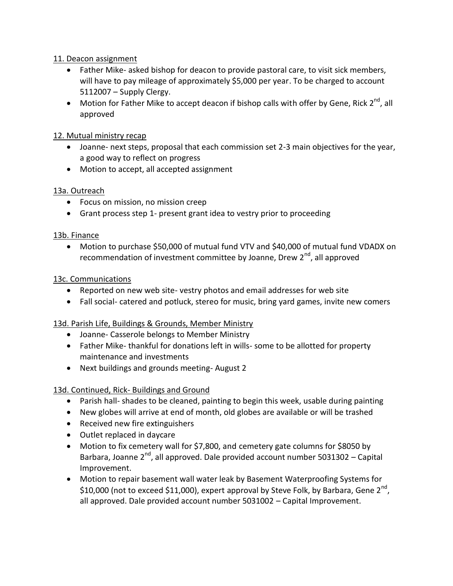### 11. Deacon assignment

- Father Mike- asked bishop for deacon to provide pastoral care, to visit sick members, will have to pay mileage of approximately \$5,000 per year. To be charged to account 5112007 – Supply Clergy.
- $\bullet$  Motion for Father Mike to accept deacon if bishop calls with offer by Gene, Rick 2<sup>nd</sup>, all approved

### 12. Mutual ministry recap

- Joanne- next steps, proposal that each commission set 2-3 main objectives for the year, a good way to reflect on progress
- Motion to accept, all accepted assignment

## 13a. Outreach

- Focus on mission, no mission creep
- Grant process step 1- present grant idea to vestry prior to proceeding

### 13b. Finance

 Motion to purchase \$50,000 of mutual fund VTV and \$40,000 of mutual fund VDADX on recommendation of investment committee by Joanne, Drew 2<sup>nd</sup>, all approved

### 13c. Communications

- Reported on new web site- vestry photos and email addresses for web site
- Fall social- catered and potluck, stereo for music, bring yard games, invite new comers

### 13d. Parish Life, Buildings & Grounds, Member Ministry

- Joanne- Casserole belongs to Member Ministry
- Father Mike- thankful for donations left in wills- some to be allotted for property maintenance and investments
- Next buildings and grounds meeting-August 2

## 13d. Continued, Rick- Buildings and Ground

- Parish hall- shades to be cleaned, painting to begin this week, usable during painting
- New globes will arrive at end of month, old globes are available or will be trashed
- Received new fire extinguishers
- Outlet replaced in daycare
- Motion to fix cemetery wall for \$7,800, and cemetery gate columns for \$8050 by Barbara, Joanne  $2^{nd}$ , all approved. Dale provided account number 5031302 – Capital Improvement.
- Motion to repair basement wall water leak by Basement Waterproofing Systems for \$10,000 (not to exceed \$11,000), expert approval by Steve Folk, by Barbara, Gene 2<sup>nd</sup>, all approved. Dale provided account number 5031002 – Capital Improvement.